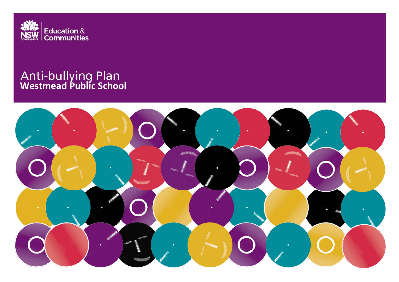

# **Westmead Public School**

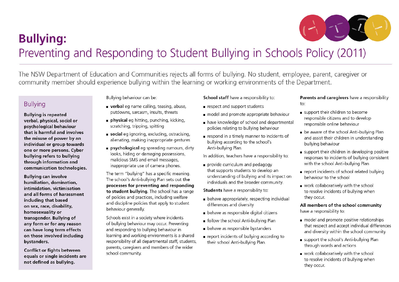

# **Bullying:** Preventing and Responding to Student Bullying in Schools Policy (2011)

The NSW Department of Education and Communities rejects all forms of bullying. No student, employee, parent, caregiver or community member should experience bullying within the learning or working environments of the Department.

# **Bullying**

**Bullying is repeated** verbal, physical, social or psychological behaviour that is harmful and involves the misuse of power by an individual or group towards one or more persons. Cyber bullying refers to bullying through information and communication technologies.

**Bullving can involve** humiliation, domination, intimidation, victimisation and all forms of harassment including that based on sex, race, disability, homosexuality or transgender. Bullying of any form or for any reason can have long term effects on those involved including bystanders.

**Conflict or fights between** equals or single incidents are not defined as bullying.

Bullying behaviour can be:

- verbal eg name calling, teasing, abuse, putdowns, sarcasm, insults, threats
- physical eq hitting, punching, kicking, scratching, tripping, spitting
- social eq ignoring, excluding, ostracising, alienating, making inappropriate gestures
- psychological eq spreading rumours, dirty looks, hiding or damaging possessions, malicious SMS and email messages, inappropriate use of camera phones.

The term "bullying" has a specific meaning. The school's Anti-bullying Plan sets out the processes for preventing and responding to student bullying. The school has a range of policies and practices, including welfare and discipline policies that apply to student behaviour generally.

Schools exist in a society where incidents of bullying behaviour may occur. Preventing and responding to bullying behaviour in learning and working environments is a shared responsibility of all departmental staff, students, parents, caregivers and members of the wider school community.

# School staff have a responsibility to:

- respect and support students
- nodel and promote appropriate behaviour
- have knowledge of school and departmental policies relating to bullying behaviour
- respond in a timely manner to incidents of bullying according to the school's Anti-bullying Plan.

In addition, teachers have a responsibility to:

provide curriculum and pedagogy that supports students to develop an understanding of bullying and its impact on individuals and the broader community.

**Students** have a responsibility to:

- behave appropriately, respecting individual differences and diversity
- behave as responsible digital citizens
- follow the school Anti-bullying Plan
- behave as responsible bystanders
- report incidents of bullying according to their school Anti-bullying Plan.

Parents and caregivers have a responsibility  $to$ .

- support their children to become responsible citizens and to develop responsible online behaviour
- be aware of the school Anti-bullying Plan and assist their children in understanding bullying behaviour
- support their children in developing positive responses to incidents of bullying consistent with the school Anti-bullying Plan
- report incidents of school related bullying behaviour to the school
- vork collaboratively with the school to resolve incidents of bullying when they occur.

All members of the school community have a responsibility to:

- model and promote positive relationships that respect and accept individual differences and diversity within the school community
- support the school's Anti-bullying Plan through words and actions
- vork collaboratively with the school to resolve incidents of bullying when they occur.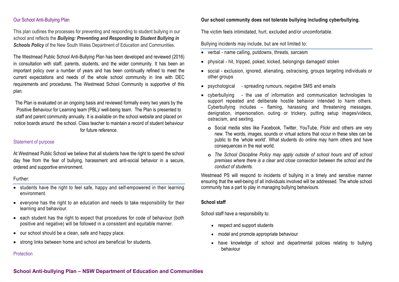# Our School Anti-Bullying Plan

This plan outlines the processes for preventing and responding to student bullying in our school and reflects the *Bullying: Preventing and Responding to Student Bullying in*  **Schools Policy** of the New South Wales Department of Education and Communities.

The Westmead Public School Anti-Bullying Plan has been developed and reviewed (2016) in consultation with staff, parents, students, and the wider community. It has been an important policy over a number of years and has been continually refined to meet the current expectations and needs of the whole school community in line with DEC requirements and procedures. The Westmead School Community is supportive of this plan.

The Plan is evaluated on an ongoing basis and reviewed formally every two years by the Positive Behaviour for Learning team (PBL)/ well-being team. The Plan is presented to staff and parent community annually. It is available on the school website and placed on notice boards around the school. Class teacher to maintain a record of student behaviour for future reference.

# Statement of purpose

At Westmead Public School we believe that all students have the right to spend the school day free from the fear of bullying, harassment and anti-social behavior in a secure, ordered and supportive environment.

#### Further:

- students have the right to feel safe, happy and self-empowered in their learning environment.
- everyone has the right to an education and needs to take responsibility for their learning and behaviour.
- each student has the right to expect that procedures for code of behaviour (both positive and negative) will be followed in a consistent and equitable manner.
- our school should be a clean, safe and happy place.
- strong links between home and school are beneficial for students.

# **Protection**

# **Our school community does not tolerate bullying including cyberbullying.**

The victim feels intimidated, hurt, excluded and/or uncomfortable.

Bullying incidents may include, but are not limited to:

- verbal name calling, putdowns, threats, sarcasm
- physical hit, tripped, poked, kicked, belongings damaged/ stolen
- social exclusion, ignored, alienating, ostracising, groups targeting individuals or other groups
- psychological spreading rumours, negative SMS and emails
- cyberbullying the use of information and communication technologies to support repeated and deliberate hostile behavior intended to harm others. Cyberbullying includes – flaming, harassing and threatening messages, denigration, impersonation, outing or trickery, putting setup images/videos, ostracism, and sexting.
	- **o** Social media sites like Facebook, Twitter, YouTube, Flickr and others are very new. The words, images, sounds or virtual actions that occur in these sites can be public to the 'whole world'. What students do online may harm others and have consequences in the real world.
	- **o** *The School Discipline Policy may apply outside of school hours and off school premises where there is a clear and close connection between the school and the conduct of students.*

Westmead PS will respond to incidents of bullying in a timely and sensitive manner ensuring that the well-being of all individuals involved will be addressed. The whole school community has a part to play in managing bullying behaviours.

# **School staff**

School staff have a responsibility to:

- respect and support students
- model and promote appropriate behaviour
- have knowledge of school and departmental policies relating to bullying behaviour

# **School Anti-bullying Plan – NSW Department of Education and Communities**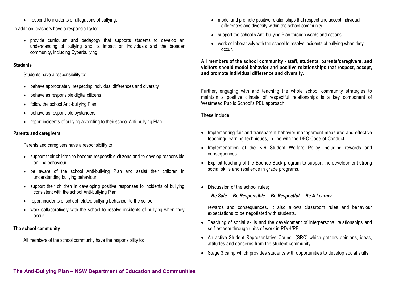• respond to incidents or allegations of bullying.

In addition, teachers have a responsibility to:

• provide curriculum and pedagogy that supports students to develop an understanding of bullying and its impact on individuals and the broader community, including Cyberbullying.

# **Students**

Students have a responsibility to:

- behave appropriately, respecting individual differences and diversity
- behave as responsible digital citizens
- follow the school Anti-bullying Plan
- behave as responsible bystanders
- report incidents of bullying according to their school Anti-bullying Plan.

# **Parents and caregivers**

Parents and caregivers have a responsibility to:

- support their children to become responsible citizens and to develop responsible on-line behaviour
- be aware of the school Anti-bullying Plan and assist their children in understanding bullying behaviour
- support their children in developing positive responses to incidents of bullying consistent with the school Anti-bullying Plan
- report incidents of school related bullying behaviour to the school
- work collaboratively with the school to resolve incidents of bullying when they occur.

# **The school community**

All members of the school community have the responsibility to:

- model and promote positive relationships that respect and accept individual differences and diversity within the school community
- support the school's Anti-bullying Plan through words and actions
- work collaboratively with the school to resolve incidents of bullying when they occur.

**All members of the school community - staff, students, parents/caregivers, and visitors should model behavior and positive relationships that respect, accept, and promote individual difference and diversity.**

Further, engaging with and teaching the whole school community strategies to maintain a positive climate of respectful relationships is a key component of Westmead Public School's PBL approach.

These include:

- Implementing fair and transparent behavior management measures and effective teaching/ learning techniques, in line with the DEC Code of Conduct.
- Implementation of the K-6 Student Welfare Policy including rewards and consequences.
- Explicit teaching of the Bounce Back program to support the development strong social skills and resilience in grade programs.
- Discussion of the school rules:

*Be Safe Be Responsible Be Respectful Be A Learner*

rewards and consequences. It also allows classroom rules and behaviour expectations to be negotiated with students.

- Teaching of social skills and the development of interpersonal relationships and self-esteem through units of work in PD/H/PE.
- An active Student Representative Council (SRC) which gathers opinions, ideas, attitudes and concerns from the student community.
- Stage 3 camp which provides students with opportunities to develop social skills.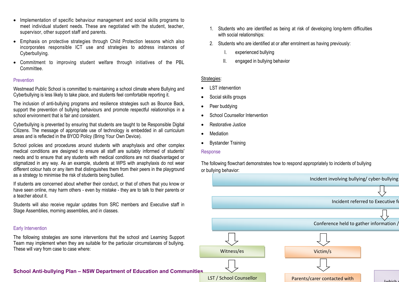- Implementation of specific behaviour management and social skills programs to meet individual student needs. These are negotiated with the student, teacher, supervisor, other support staff and parents.
- Emphasis on protective strategies through Child Protection lessons which also incorporates responsible ICT use and strategies to address instances of Cyberbullying.
- Commitment to improving student welfare through initiatives of the PBL Committee.

# **Prevention**

Westmead Public School is committed to maintaining a school climate where Bullying and Cyberbullying is less likely to take place, and students feel comfortable reporting it.

The inclusion of anti-bullying programs and resilience strategies such as Bounce Back, support the prevention of bullying behaviours and promote respectful relationships in a school environment that is fair and consistent.

Cyberbullying is prevented by ensuring that students are taught to be Responsible Digital Citizens. The message of appropriate use of technology is embedded in all curriculum areas and is reflected in the BYOD Policy (Bring Your Own Device).

School policies and procedures around students with anaphylaxis and other complex medical conditions are designed to ensure all staff are suitably informed of students' needs and to ensure that any students with medical conditions are not disadvantaged or stigmatized in any way. As an example, students at WPS with anaphylaxis do not wear different colour hats or any item that distinguishes them from their peers in the playground as a strategy to minimise the risk of students being bullied.

If students are concerned about whether their conduct, or that of others that you know or have seen online, may harm others - even by mistake - they are to talk to their parents or a teacher about it.

Students will also receive regular updates from SRC members and Executive staff in Stage Assemblies, morning assemblies, and in classes.

# Early Intervention

The following strategies are some interventions that the school and Learning Support Team may implement when they are suitable for the particular circumstances of bullying. These will vary from case to case where:

**School Anti-bullying Plan – NSW Department of Education and Communities** 

- 1. Students who are identified as being at risk of developing long-term difficulties with social relationships:
- 2. Students who are identified at or after enrolment as having previously:
	- I. experienced bullying
	- II. engaged in bullying behavior

# Strategies:

- LST intervention
- Social skills groups
- Peer buddying
- **School Counsellor Intervention**
- Restorative Justice
- **Mediation**
- Bystander Training

# Response

The following flowchart demonstrates how to respond appropriately to incidents of bullying or bullying behavior: